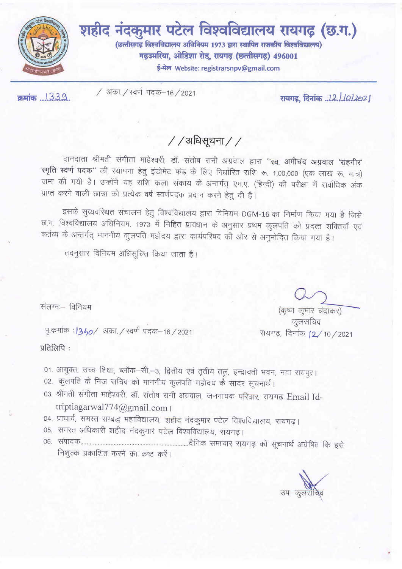

शहीद नंदकुमार पटेल विश्वविद्यालय रायगढ़ (छ.ग.) (छत्तीसगढ़ विश्वविद्यालय अधिनियम 1973 द्वारा स्थापित राजकीय विश्वविद्यालय) गढ़उमरिया, ओडिशा रोड, रायगढ़ (छत्तीसगढ़) 496001 ई-मेल Website: registrarsnpv@gmail.com

क्रमांक ... 1339..

/ अका. / स्वर्ण पदक–16 / 2021

## $//$ अधिसूचना $//$

दानदाता श्रीमती संगीता माहेश्वरी, डॉ. संतोष रानी अग्रवाल द्वारा 'स्व. अमीचंद अग्रवाल 'राहगीर' स्मृति स्वर्ण पदक" की स्थापना हेतु इंडोमेंट फंड के लिए निर्धारित राशि रू. 1,00,000 (एक लाख रू. मात्र) जमा की गयी है। उन्होंने यह राशि कला संकाय के अन्तर्गत् एम.ए. (हिन्दी) की परीक्षा में सर्वाधिक अंक प्राप्त करने वाली छात्रा को प्रत्येक वर्ष स्वर्णपदक प्रदान करने हेतु दी है।

इसके सुव्यवस्थित संचालन हेतु विश्वविद्यालय द्वारा विनियम DGM-16 का निर्माण किया गया है जिसे छ.ग. विश्वविद्यालय अधिनियम, 1973 में निहित प्रावधान के अनुसार प्रथम कुलपति को प्रदत्त शक्तियाँ एवं कर्तव्य के अन्तर्गत् माननीय कुलपति महोदय द्वारा कार्यपरिषद की ओर से अनुमोदित किया गया है।

तदनुसार विनियम अधिसूचित किया जाता है।

संलग्नः विनियम

पृ.कर्माक : 1340/ अका. / स्वर्ण पदक–16 / 2021

प्रतिलिपि:

01. आयुक्त, उच्च शिक्षा, ब्लॉक-सी.-3, द्वितीय एवं तृतीय तलु, इन्द्रावती भवन, नवा रायपुर।

- 02. कुलपति के निज सचिव को माननीय कुलपति महोदय के सादर सूचनार्थ।
- 03. श्रीमती संगीता माहेश्वरी, डॉ. संतोष रानी अग्रवाल, जननायक परिवार, रायगढ़ Email Idtriptiagarwal774@gmail.com |
- 04. प्राचार्य, समस्त सम्बद्ध महाविद्यालय, शहीद नंदकुमार पटेल विश्वविद्यालय, रायगढ़।
- 05. समस्त अधिकारी शहीद नंदकुमारं पटेल विश्वविद्यालय, रायगढ़।
- निशुल्क प्रकाशित करने का कष्ट करें।

(कृष्ण कुमार चंद्राकर) कलसचिव

रायगढ़, दिनांक <u>12 ⁄</u> 10 ⁄ 2021